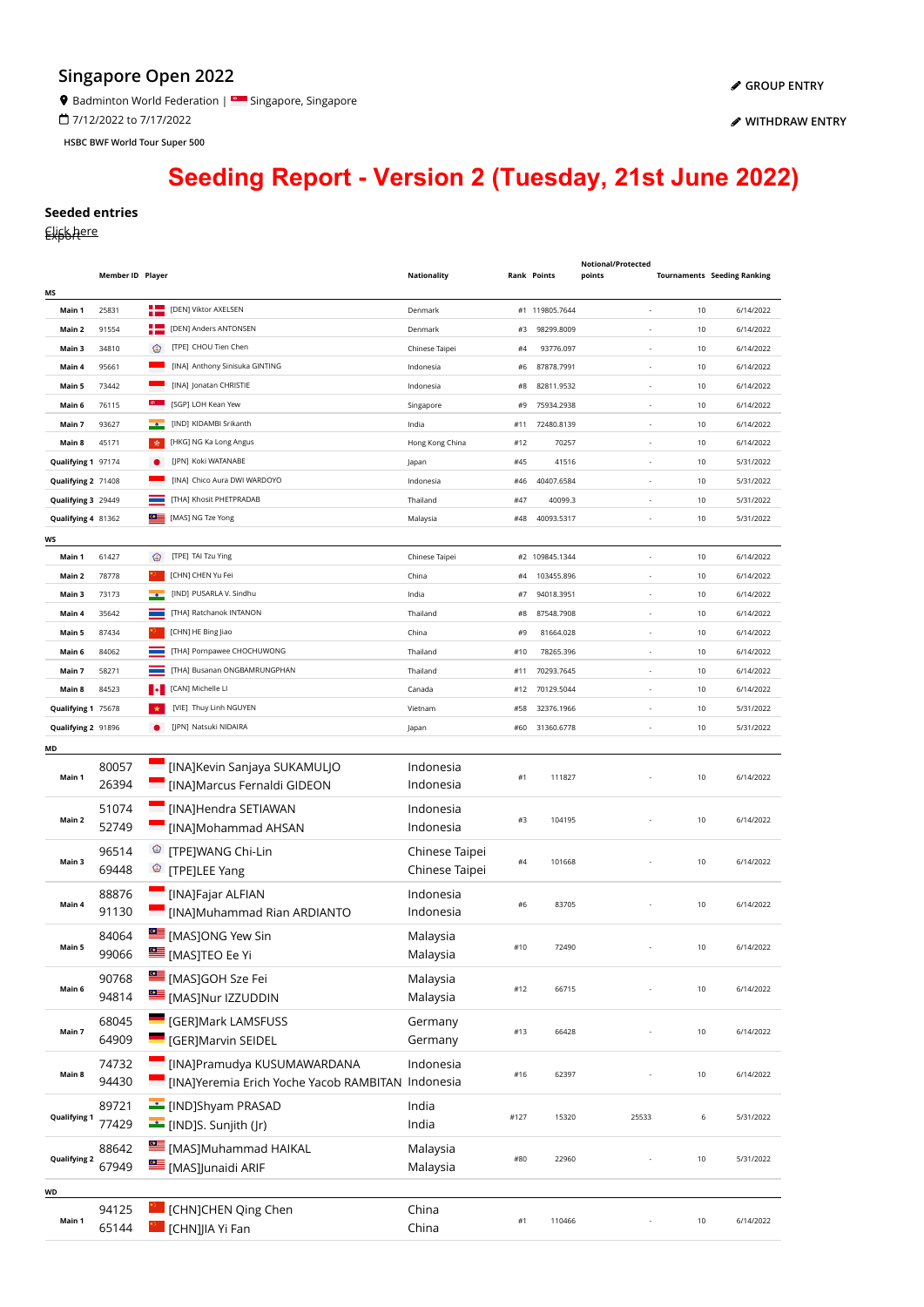## **Singapore Open 2022**

<sup>9</sup> Badminton World Federation | Singapore, Singapore

7/12/2022 to 7/17/2022

**HSBC BWF World Tour Super 500**

**[WITHDRAW ENTRY](https://bwf.tournamentsoftware.com/sport/entry_management.aspx?id=6C35AB98-FF7E-437F-BFA7-4DF58665A650)**

## **Seeding Report - Version 2 (Tuesday, 21st June 2022)**

## **Seeded entries**

Elisk here

|                     | Member ID Player |            |                                                   | <b>Nationality</b> |          | <b>Rank Points</b>           | Notional/Protected<br>points                         |          | <b>Tournaments Seeding Ranking</b> |
|---------------------|------------------|------------|---------------------------------------------------|--------------------|----------|------------------------------|------------------------------------------------------|----------|------------------------------------|
| ΜS                  |                  |            |                                                   |                    |          |                              |                                                      |          |                                    |
| Main 1              | 25831            | ╄═         | [DEN] Viktor AXELSEN<br>[DEN] Anders ANTONSEN     | Denmark            |          | #1 119805.7644<br>98299.8009 | ÷.                                                   | 10<br>10 | 6/14/2022                          |
| Main 2              | 91554            |            | [TPE] CHOU Tien Chen                              | Denmark            | #3       |                              |                                                      |          | 6/14/2022                          |
| Main 3              | 34810            | ⊛          | [INA] Anthony Sinisuka GINTING                    | Chinese Taipei     | #4       | 93776.097<br>87878.7991      |                                                      | 10       | 6/14/2022<br>6/14/2022             |
| Main 4              | 95661            |            | [INA] Jonatan CHRISTIE                            | Indonesia          | #6       |                              | ÷                                                    | 10       |                                    |
| Main 5<br>Main 6    | 73442<br>76115   |            | [SGP] LOH Kean Yew                                | Indonesia          | #8<br>#9 | 82811.9532                   |                                                      | 10<br>10 | 6/14/2022                          |
| Main 7              | 93627            |            | [IND] KIDAMBI Srikanth                            | Singapore<br>India | #11      | 75934.2938<br>72480.8139     | $\overline{\phantom{a}}$<br>$\overline{\phantom{a}}$ | 10       | 6/14/2022<br>6/14/2022             |
| Main 8              | 45171            | <b>A</b>   | [HKG] NG Ka Long Angus                            | Hong Kong China    | #12      | 70257                        | $\sim$                                               | 10       | 6/14/2022                          |
| Qualifying 1 97174  |                  |            | [IPN] Koki WATANABE                               | Japan              | #45      | 41516                        | $\sim$                                               | 10       | 5/31/2022                          |
| Qualifying 2 71408  |                  |            | [INA] Chico Aura DWI WARDOYO                      | Indonesia          | #46      | 40407.6584                   | $\sim$                                               | 10       | 5/31/2022                          |
| Qualifying 3 29449  |                  |            | [THA] Khosit PHETPRADAB                           | Thailand           | #47      | 40099.3                      | ×,                                                   | 10       | 5/31/2022                          |
| Qualifying 4 81362  |                  | ⋐          | [MAS] NG Tze Yong                                 | Malaysia           | #48      | 40093.5317                   |                                                      | 10       | 5/31/2022                          |
|                     |                  |            |                                                   |                    |          |                              |                                                      |          |                                    |
| ws<br>Main 1        | 61427            | ⊛          | [TPE] TAI Tzu Ying                                | Chinese Taipei     |          | #2 109845.1344               | ×,                                                   | 10       | 6/14/2022                          |
| Main 2              | 78778            |            | [CHN] CHEN Yu Fei                                 | China              | #4       | 103455.896                   | $\sim$                                               | 10       | 6/14/2022                          |
| Main 3              | 73173            |            | [IND] PUSARLA V. Sindhu                           | India              | #7       | 94018.3951                   | ÷.                                                   | 10       | 6/14/2022                          |
| Main 4              | 35642            |            | [THA] Ratchanok INTANON                           | Thailand           | #8       | 87548.7908                   |                                                      | 10       | 6/14/2022                          |
| Main 5              | 87434            |            | [CHN] HE Bing Jiao                                | China              | #9       | 81664.028                    | $\overline{\phantom{a}}$                             | 10       | 6/14/2022                          |
| Main 6              | 84062            |            | [THA] Pornpawee CHOCHUWONG                        | Thailand           | #10      | 78265.396                    | $\overline{\phantom{a}}$                             | 10       | 6/14/2022                          |
| Main 7              | 58271            |            | [THA] Busanan ONGBAMRUNGPHAN                      | Thailand           | #11      | 70293.7645                   | $\overline{\phantom{a}}$                             | 10       | 6/14/2022                          |
| Main 8              | 84523            |            | [CAN] Michelle LI                                 | Canada             | #12      | 70129.5044                   | $\sim$                                               | 10       | 6/14/2022                          |
| Qualifying 1 75678  |                  |            | [VIE] Thuy Linh NGUYEN                            | Vietnam            | #58      | 32376.1966                   | $\sim$                                               | 10       | 5/31/2022                          |
| Qualifying 2 91896  |                  |            | [JPN] Natsuki NIDAIRA                             | Japan              | #60      | 31360.6778                   | ÷.                                                   | 10       | 5/31/2022                          |
| MD                  |                  |            |                                                   |                    |          |                              |                                                      |          |                                    |
|                     | 80057            |            | [INA]Kevin Sanjaya SUKAMULJO                      | Indonesia          |          |                              |                                                      |          |                                    |
| Main 1              | 26394            |            | [INA]Marcus Fernaldi GIDEON                       | Indonesia          | #1       | 111827                       |                                                      | 10       | 6/14/2022                          |
|                     | 51074            |            | [INA]Hendra SETIAWAN                              | Indonesia          |          |                              |                                                      |          |                                    |
| Main 2              | 52749            | Ξ          | [INA]Mohammad AHSAN                               | Indonesia          | #3       | 104195                       |                                                      | 10       | 6/14/2022                          |
|                     |                  |            |                                                   |                    |          |                              |                                                      |          |                                    |
| Main 3              | 96514            | $^{\circ}$ | [TPE]WANG Chi-Lin                                 | Chinese Taipei     | #4       | 101668                       |                                                      | 10       | 6/14/2022                          |
|                     | 69448            |            | <sup><sup>3</sup> [TPE]LEE Yang</sup>             | Chinese Taipei     |          |                              |                                                      |          |                                    |
|                     | 88876            |            | [INA]Fajar ALFIAN                                 | Indonesia          | #6       | 83705                        |                                                      | 10       | 6/14/2022                          |
| Main 4              | 91130            |            | [INA]Muhammad Rian ARDIANTO                       | Indonesia          |          |                              |                                                      |          |                                    |
|                     | 84064            |            | [MASJONG Yew Sin                                  | Malaysia           |          |                              |                                                      |          |                                    |
| Main 5              | 99066            |            | <b>SEE</b> [MAS]TEO Ee Yi                         | Malaysia           | #10      | 72490                        |                                                      | 10       | 6/14/2022                          |
|                     | 90768            |            | [MAS]GOH Sze Fei                                  | Malaysia           |          |                              |                                                      |          |                                    |
| Main 6              | 94814            |            | [MAS]Nur IZZUDDIN                                 | Malaysia           | #12      | 66715                        |                                                      | 10       | 6/14/2022                          |
|                     |                  |            | <b>CONTENTIVIER SERVIS EDGE CONTROL</b>           |                    |          |                              |                                                      |          |                                    |
| Main 7              | 68045<br>64909   |            | <b>GER]Marvin SEIDEL</b>                          | Germany<br>Germany | #13      | 66428                        |                                                      | 10       | 6/14/2022                          |
|                     |                  |            |                                                   |                    |          |                              |                                                      |          |                                    |
| Main 8              | 74732            |            | [INA]Pramudya KUSUMAWARDANA                       | Indonesia          | #16      | 62397                        |                                                      | 10       | 6/14/2022                          |
|                     | 94430            |            | [INA]Yeremia Erich Yoche Yacob RAMBITAN Indonesia |                    |          |                              |                                                      |          |                                    |
| <b>Qualifying 1</b> | 89721            |            | [IND]Shyam PRASAD                                 | India              |          | 15320                        | 25533                                                |          |                                    |
|                     | 77429            |            | [IND]S. Sunjith (Jr)                              | India              | #127     |                              |                                                      | 6        | 5/31/2022                          |
| <b>Qualifying 2</b> | 88642            |            | [MAS]Muhammad HAIKAL                              | Malaysia           |          | 22960                        |                                                      |          |                                    |
|                     | 67949            |            | [MAS]Junaidi ARIF                                 | Malaysia           | #80      |                              |                                                      | 10       | 5/31/2022                          |
| WD                  |                  |            |                                                   |                    |          |                              |                                                      |          |                                    |
|                     | 94125            |            | [CHN]CHEN Qing Chen                               | China              |          |                              |                                                      |          |                                    |
| Main 1              | 65144            |            | [CHN]JIA Yi Fan                                   | China              | #1       | 110466                       |                                                      | 10       | 6/14/2022                          |
|                     |                  |            |                                                   |                    |          |                              |                                                      |          |                                    |